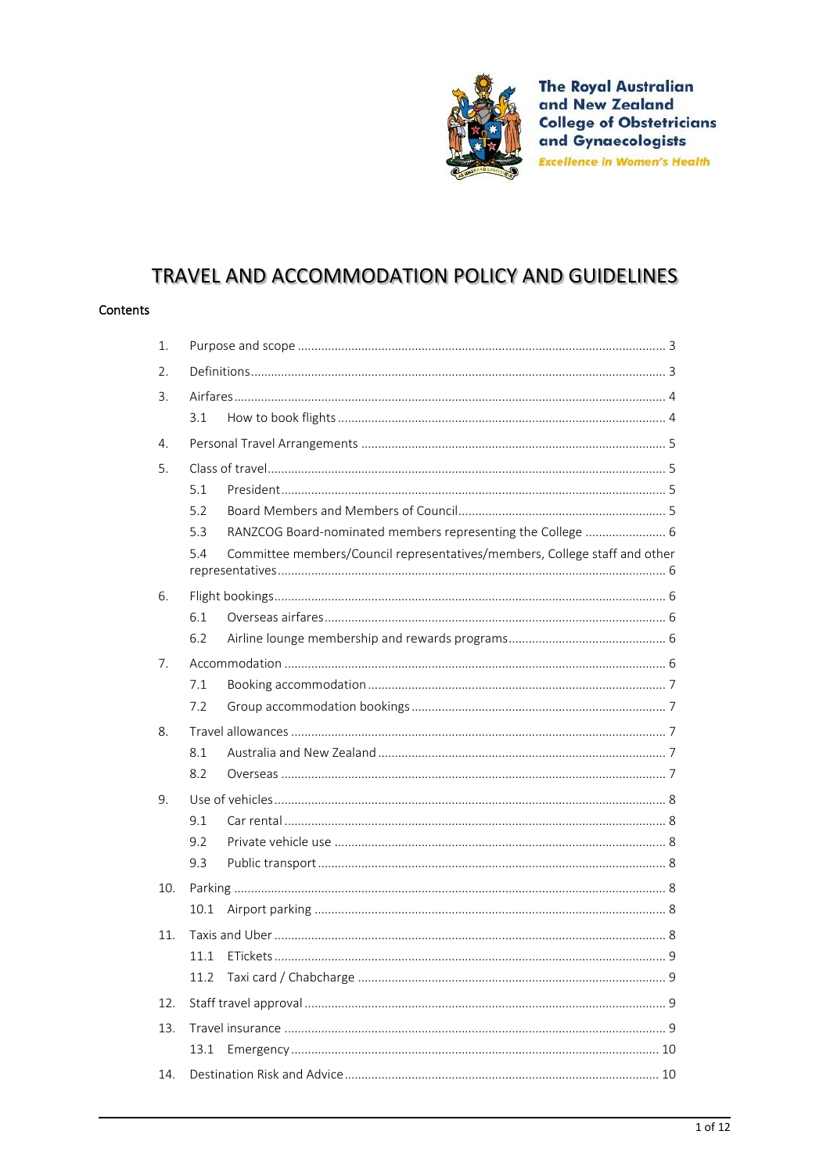

**The Royal Australian** and New Zealand **College of Obstetricians** and Gynaecologists **Excellence in Women's Health** 

# TRAVEL AND ACCOMMODATION POLICY AND GUIDELINES

#### Contents

| 1.  |      |                                                                            |  |
|-----|------|----------------------------------------------------------------------------|--|
| 2.  |      |                                                                            |  |
| 3.  |      |                                                                            |  |
|     | 3.1  |                                                                            |  |
| 4.  |      |                                                                            |  |
| 5.  |      |                                                                            |  |
|     | 5.1  |                                                                            |  |
|     | 5.2  |                                                                            |  |
|     | 5.3  | RANZCOG Board-nominated members representing the College  6                |  |
|     | 5.4  | Committee members/Council representatives/members, College staff and other |  |
| 6.  |      |                                                                            |  |
|     | 6.1  |                                                                            |  |
|     | 6.2  |                                                                            |  |
| 7.  |      |                                                                            |  |
|     | 7.1  |                                                                            |  |
|     | 7.2  |                                                                            |  |
| 8.  |      |                                                                            |  |
|     | 8.1  |                                                                            |  |
|     | 8.2  |                                                                            |  |
| 9.  |      |                                                                            |  |
|     | 9.1  |                                                                            |  |
|     | 9.2  |                                                                            |  |
|     | 9.3  |                                                                            |  |
| 10. |      |                                                                            |  |
|     | 10.1 |                                                                            |  |
| 11. |      |                                                                            |  |
|     |      |                                                                            |  |
|     | 11.2 |                                                                            |  |
| 12. |      |                                                                            |  |
| 13. |      |                                                                            |  |
|     | 13.1 |                                                                            |  |
| 14. |      |                                                                            |  |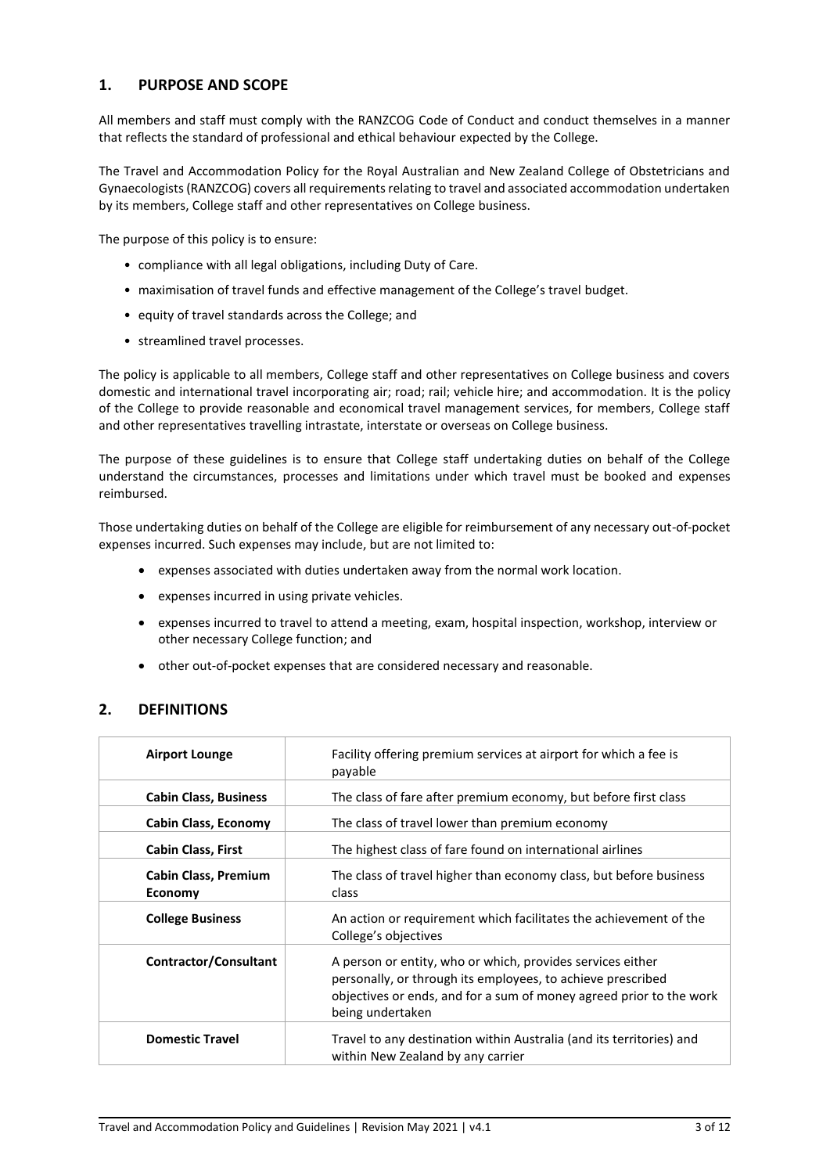### <span id="page-2-0"></span>**1. PURPOSE AND SCOPE**

All members and staff must comply with the RANZCOG Code of Conduct and conduct themselves in a manner that reflects the standard of professional and ethical behaviour expected by the College.

The Travel and Accommodation Policy for the Royal Australian and New Zealand College of Obstetricians and Gynaecologists (RANZCOG) covers all requirements relating to travel and associated accommodation undertaken by its members, College staff and other representatives on College business.

The purpose of this policy is to ensure:

- compliance with all legal obligations, including Duty of Care.
- maximisation of travel funds and effective management of the College's travel budget.
- equity of travel standards across the College; and
- streamlined travel processes.

The policy is applicable to all members, College staff and other representatives on College business and covers domestic and international travel incorporating air; road; rail; vehicle hire; and accommodation. It is the policy of the College to provide reasonable and economical travel management services, for members, College staff and other representatives travelling intrastate, interstate or overseas on College business.

The purpose of these guidelines is to ensure that College staff undertaking duties on behalf of the College understand the circumstances, processes and limitations under which travel must be booked and expenses reimbursed.

Those undertaking duties on behalf of the College are eligible for reimbursement of any necessary out-of-pocket expenses incurred. Such expenses may include, but are not limited to:

- expenses associated with duties undertaken away from the normal work location.
- expenses incurred in using private vehicles.
- expenses incurred to travel to attend a meeting, exam, hospital inspection, workshop, interview or other necessary College function; and
- other out-of-pocket expenses that are considered necessary and reasonable.

# <span id="page-2-1"></span>**2. DEFINITIONS**

| <b>Airport Lounge</b>                         | Facility offering premium services at airport for which a fee is<br>payable                                                                                                                                          |
|-----------------------------------------------|----------------------------------------------------------------------------------------------------------------------------------------------------------------------------------------------------------------------|
| <b>Cabin Class, Business</b>                  | The class of fare after premium economy, but before first class                                                                                                                                                      |
| Cabin Class, Economy                          | The class of travel lower than premium economy                                                                                                                                                                       |
| <b>Cabin Class, First</b>                     | The highest class of fare found on international airlines                                                                                                                                                            |
| <b>Cabin Class, Premium</b><br><b>Economy</b> | The class of travel higher than economy class, but before business<br>class                                                                                                                                          |
| <b>College Business</b>                       | An action or requirement which facilitates the achievement of the<br>College's objectives                                                                                                                            |
| Contractor/Consultant                         | A person or entity, who or which, provides services either<br>personally, or through its employees, to achieve prescribed<br>objectives or ends, and for a sum of money agreed prior to the work<br>being undertaken |
| <b>Domestic Travel</b>                        | Travel to any destination within Australia (and its territories) and<br>within New Zealand by any carrier                                                                                                            |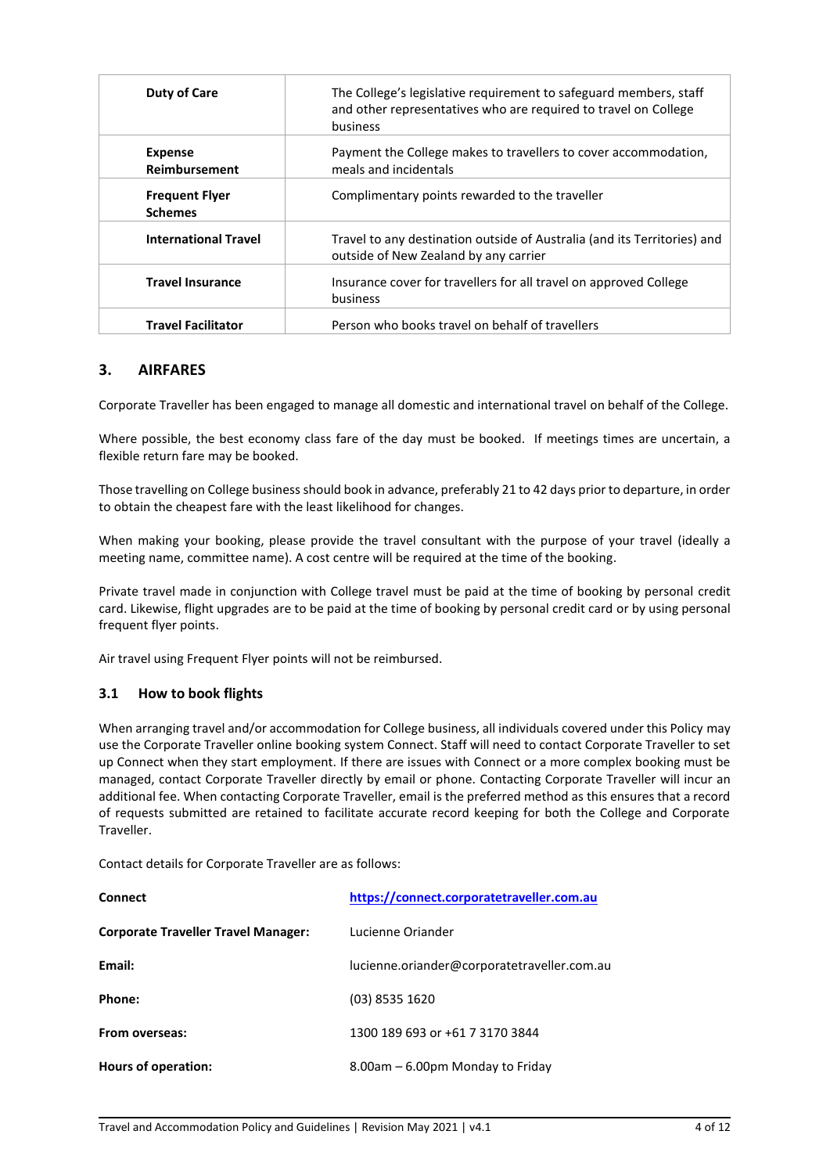| <b>Duty of Care</b>                     | The College's legislative requirement to safeguard members, staff<br>and other representatives who are required to travel on College<br>business |
|-----------------------------------------|--------------------------------------------------------------------------------------------------------------------------------------------------|
| <b>Expense</b><br>Reimbursement         | Payment the College makes to travellers to cover accommodation,<br>meals and incidentals                                                         |
| <b>Frequent Flyer</b><br><b>Schemes</b> | Complimentary points rewarded to the traveller                                                                                                   |
| <b>International Travel</b>             | Travel to any destination outside of Australia (and its Territories) and<br>outside of New Zealand by any carrier                                |
| <b>Travel Insurance</b>                 | Insurance cover for travellers for all travel on approved College<br>business                                                                    |
| <b>Travel Facilitator</b>               | Person who books travel on behalf of travellers                                                                                                  |

### <span id="page-3-0"></span>**3. AIRFARES**

Corporate Traveller has been engaged to manage all domestic and international travel on behalf of the College.

Where possible, the best economy class fare of the day must be booked. If meetings times are uncertain, a flexible return fare may be booked.

Those travelling on College business should book in advance, preferably 21 to 42 days prior to departure, in order to obtain the cheapest fare with the least likelihood for changes.

When making your booking, please provide the travel consultant with the purpose of your travel (ideally a meeting name, committee name). A cost centre will be required at the time of the booking.

Private travel made in conjunction with College travel must be paid at the time of booking by personal credit card. Likewise, flight upgrades are to be paid at the time of booking by personal credit card or by using personal frequent flyer points.

<span id="page-3-1"></span>Air travel using Frequent Flyer points will not be reimbursed.

### **3.1 How to book flights**

When arranging travel and/or accommodation for College business, all individuals covered under this Policy may use the Corporate Traveller online booking system Connect. Staff will need to contact Corporate Traveller to set up Connect when they start employment. If there are issues with Connect or a more complex booking must be managed, contact Corporate Traveller directly by email or phone. Contacting Corporate Traveller will incur an additional fee. When contacting Corporate Traveller, email is the preferred method as this ensures that a record of requests submitted are retained to facilitate accurate record keeping for both the College and Corporate Traveller.

Contact details for Corporate Traveller are as follows:

| <b>Connect</b>                             | https://connect.corporatetraveller.com.au   |
|--------------------------------------------|---------------------------------------------|
| <b>Corporate Traveller Travel Manager:</b> | Lucienne Oriander                           |
| Email:                                     | lucienne.oriander@corporatetraveller.com.au |
| Phone:                                     | (03) 8535 1620                              |
| From overseas:                             | 1300 189 693 or +61 7 3170 3844             |
| Hours of operation:                        | 8.00am - 6.00pm Monday to Friday            |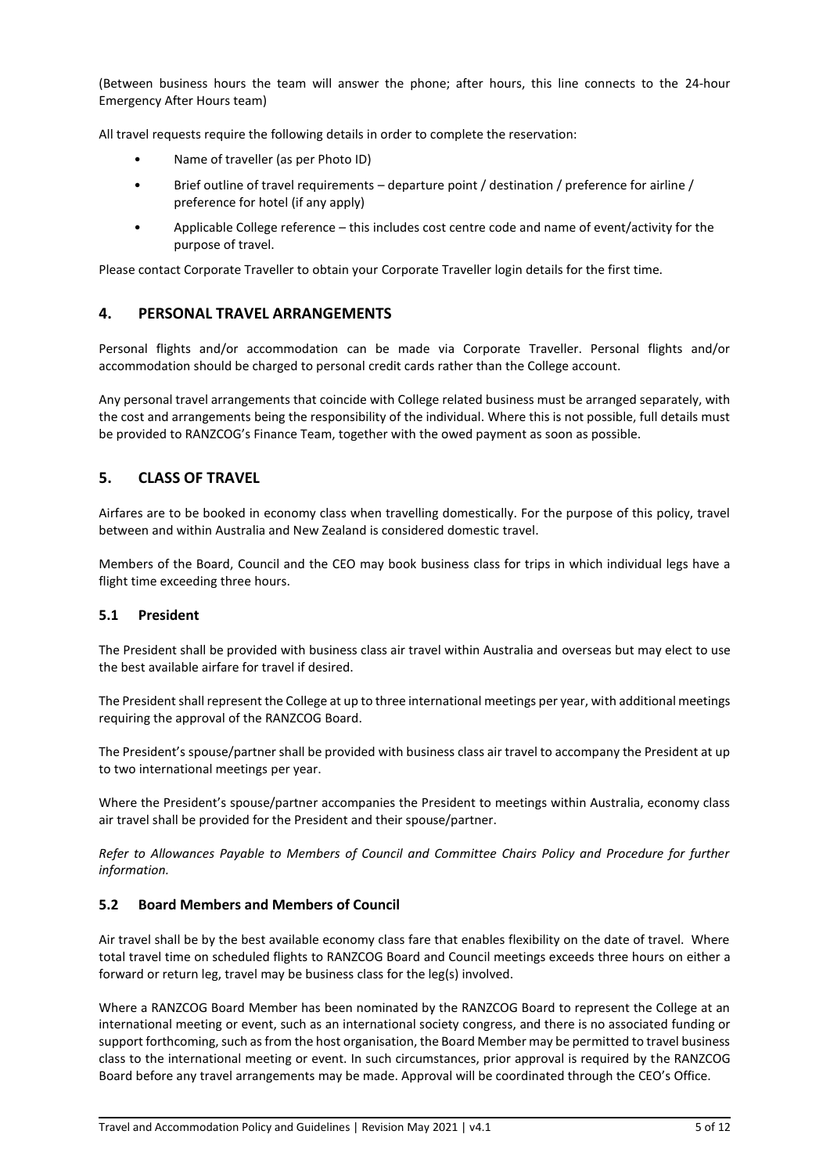(Between business hours the team will answer the phone; after hours, this line connects to the 24-hour Emergency After Hours team)

All travel requests require the following details in order to complete the reservation:

- Name of traveller (as per Photo ID)
- Brief outline of travel requirements departure point / destination / preference for airline / preference for hotel (if any apply)
- Applicable College reference this includes cost centre code and name of event/activity for the purpose of travel.

<span id="page-4-0"></span>Please contact Corporate Traveller to obtain your Corporate Traveller login details for the first time.

### **4. PERSONAL TRAVEL ARRANGEMENTS**

Personal flights and/or accommodation can be made via Corporate Traveller. Personal flights and/or accommodation should be charged to personal credit cards rather than the College account.

Any personal travel arrangements that coincide with College related business must be arranged separately, with the cost and arrangements being the responsibility of the individual. Where this is not possible, full details must be provided to RANZCOG's Finance Team, together with the owed payment as soon as possible.

# <span id="page-4-1"></span>**5. CLASS OF TRAVEL**

Airfares are to be booked in economy class when travelling domestically. For the purpose of this policy, travel between and within Australia and New Zealand is considered domestic travel.

Members of the Board, Council and the CEO may book business class for trips in which individual legs have a flight time exceeding three hours.

#### <span id="page-4-2"></span>**5.1 President**

The President shall be provided with business class air travel within Australia and overseas but may elect to use the best available airfare for travel if desired.

The President shall represent the College at up to three international meetings per year, with additional meetings requiring the approval of the RANZCOG Board.

The President's spouse/partner shall be provided with business class air travel to accompany the President at up to two international meetings per year.

Where the President's spouse/partner accompanies the President to meetings within Australia, economy class air travel shall be provided for the President and their spouse/partner.

*Refer to Allowances Payable to Members of Council and Committee Chairs Policy and Procedure for further information.*

### <span id="page-4-3"></span>**5.2 Board Members and Members of Council**

Air travel shall be by the best available economy class fare that enables flexibility on the date of travel. Where total travel time on scheduled flights to RANZCOG Board and Council meetings exceeds three hours on either a forward or return leg, travel may be business class for the leg(s) involved.

Where a RANZCOG Board Member has been nominated by the RANZCOG Board to represent the College at an international meeting or event, such as an international society congress, and there is no associated funding or support forthcoming, such as from the host organisation, the Board Member may be permitted to travel business class to the international meeting or event. In such circumstances, prior approval is required by the RANZCOG Board before any travel arrangements may be made. Approval will be coordinated through the CEO's Office.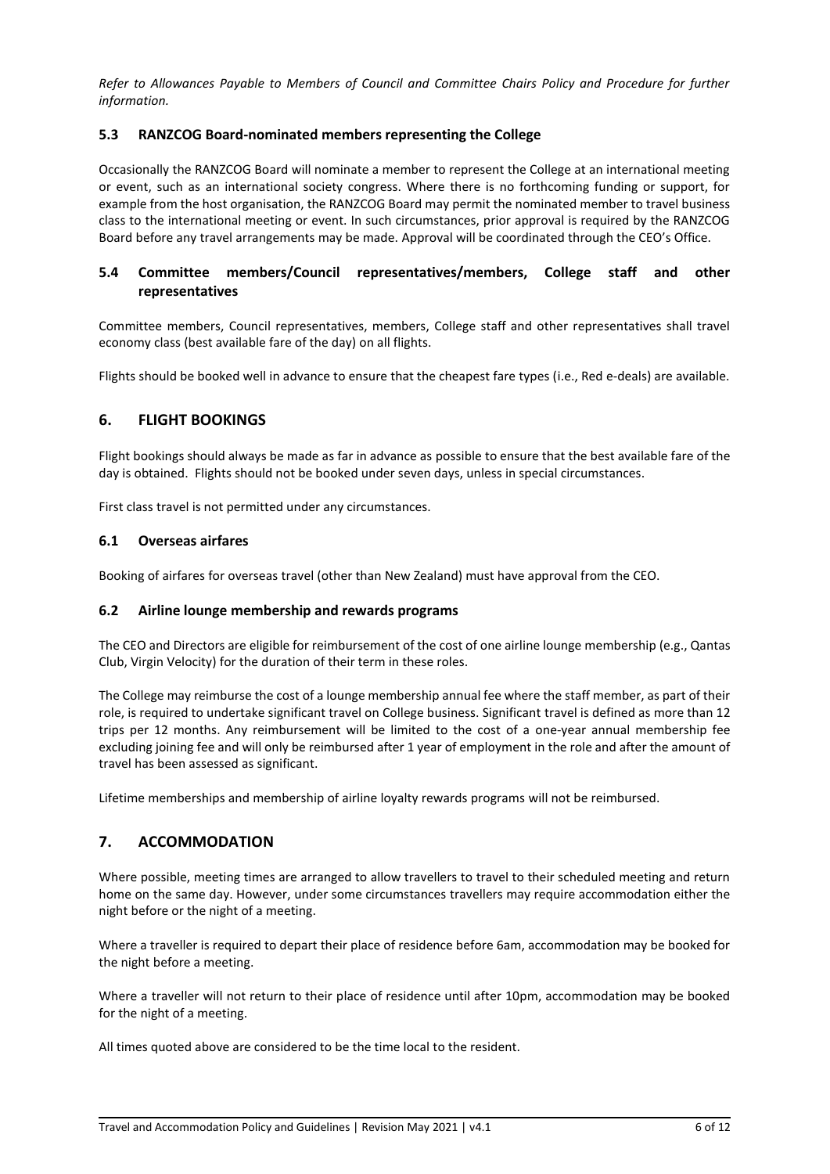*Refer to Allowances Payable to Members of Council and Committee Chairs Policy and Procedure for further information.*

### <span id="page-5-0"></span>**5.3 RANZCOG Board-nominated members representing the College**

Occasionally the RANZCOG Board will nominate a member to represent the College at an international meeting or event, such as an international society congress. Where there is no forthcoming funding or support, for example from the host organisation, the RANZCOG Board may permit the nominated member to travel business class to the international meeting or event. In such circumstances, prior approval is required by the RANZCOG Board before any travel arrangements may be made. Approval will be coordinated through the CEO's Office.

# <span id="page-5-1"></span>**5.4 Committee members/Council representatives/members, College staff and other representatives**

Committee members, Council representatives, members, College staff and other representatives shall travel economy class (best available fare of the day) on all flights.

<span id="page-5-2"></span>Flights should be booked well in advance to ensure that the cheapest fare types (i.e., Red e-deals) are available.

### **6. FLIGHT BOOKINGS**

Flight bookings should always be made as far in advance as possible to ensure that the best available fare of the day is obtained. Flights should not be booked under seven days, unless in special circumstances.

<span id="page-5-3"></span>First class travel is not permitted under any circumstances.

### **6.1 Overseas airfares**

<span id="page-5-4"></span>Booking of airfares for overseas travel (other than New Zealand) must have approval from the CEO.

#### **6.2 Airline lounge membership and rewards programs**

The CEO and Directors are eligible for reimbursement of the cost of one airline lounge membership (e.g., Qantas Club, Virgin Velocity) for the duration of their term in these roles.

The College may reimburse the cost of a lounge membership annual fee where the staff member, as part of their role, is required to undertake significant travel on College business. Significant travel is defined as more than 12 trips per 12 months. Any reimbursement will be limited to the cost of a one-year annual membership fee excluding joining fee and will only be reimbursed after 1 year of employment in the role and after the amount of travel has been assessed as significant.

<span id="page-5-5"></span>Lifetime memberships and membership of airline loyalty rewards programs will not be reimbursed.

### **7. ACCOMMODATION**

Where possible, meeting times are arranged to allow travellers to travel to their scheduled meeting and return home on the same day. However, under some circumstances travellers may require accommodation either the night before or the night of a meeting.

Where a traveller is required to depart their place of residence before 6am, accommodation may be booked for the night before a meeting.

Where a traveller will not return to their place of residence until after 10pm, accommodation may be booked for the night of a meeting.

All times quoted above are considered to be the time local to the resident.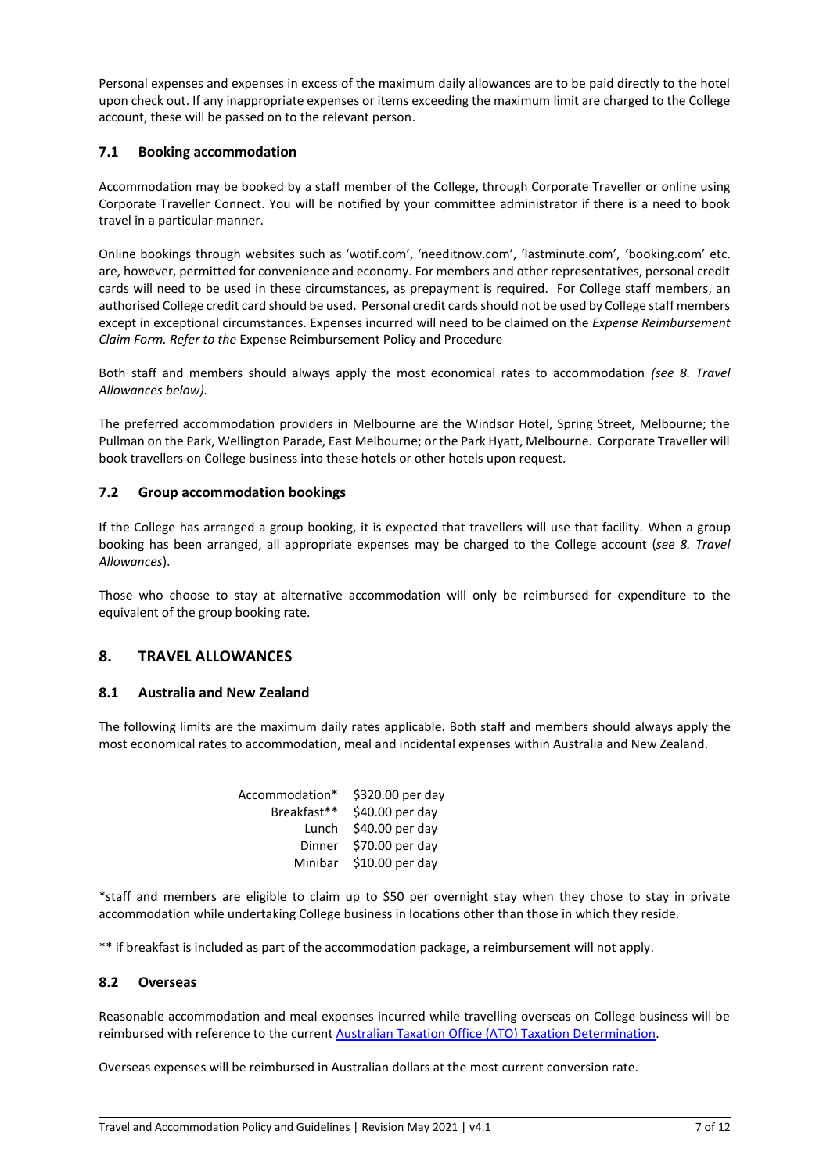Personal expenses and expenses in excess of the maximum daily allowances are to be paid directly to the hotel upon check out. If any inappropriate expenses or items exceeding the maximum limit are charged to the College account, these will be passed on to the relevant person.

### <span id="page-6-0"></span>**7.1 Booking accommodation**

Accommodation may be booked by a staff member of the College, through Corporate Traveller or online using Corporate Traveller Connect. You will be notified by your committee administrator if there is a need to book travel in a particular manner.

Online bookings through websites such as 'wotif.com', 'needitnow.com', 'lastminute.com', 'booking.com' etc. are, however, permitted for convenience and economy. For members and other representatives, personal credit cards will need to be used in these circumstances, as prepayment is required. For College staff members, an authorised College credit card should be used. Personal credit cards should not be used by College staff members except in exceptional circumstances. Expenses incurred will need to be claimed on the *Expense Reimbursement Claim Form. Refer to the* Expense Reimbursement Policy and Procedure

Both staff and members should always apply the most economical rates to accommodation *(see 8. Travel Allowances below).*

The preferred accommodation providers in Melbourne are the Windsor Hotel, Spring Street, Melbourne; the Pullman on the Park, Wellington Parade, East Melbourne; or the Park Hyatt, Melbourne. Corporate Traveller will book travellers on College business into these hotels or other hotels upon request.

### <span id="page-6-1"></span>**7.2 Group accommodation bookings**

If the College has arranged a group booking, it is expected that travellers will use that facility. When a group booking has been arranged, all appropriate expenses may be charged to the College account (*see 8. Travel Allowances*).

Those who choose to stay at alternative accommodation will only be reimbursed for expenditure to the equivalent of the group booking rate.

# <span id="page-6-2"></span>**8. TRAVEL ALLOWANCES**

### <span id="page-6-3"></span>**8.1 Australia and New Zealand**

The following limits are the maximum daily rates applicable. Both staff and members should always apply the most economical rates to accommodation, meal and incidental expenses within Australia and New Zealand.

| Accommodation* | \$320.00 per day |
|----------------|------------------|
| Breakfast**    | \$40.00 per day  |
| Lunch          | \$40.00 per day  |
| Dinner         | \$70.00 per day  |
| Minibar        | \$10.00 per day  |

\*staff and members are eligible to claim up to \$50 per overnight stay when they chose to stay in private accommodation while undertaking College business in locations other than those in which they reside.

<span id="page-6-4"></span>\*\* if breakfast is included as part of the accommodation package, a reimbursement will not apply.

### **8.2 Overseas**

Reasonable accommodation and meal expenses incurred while travelling overseas on College business will be reimbursed with reference to the current [Australian Taxation Office](http://law.ato.gov.au/atolaw/view.htm?docid=TXD/TD201419/NAT/ATO/00001) (ATO) Taxation Determination.

Overseas expenses will be reimbursed in Australian dollars at the most current conversion rate.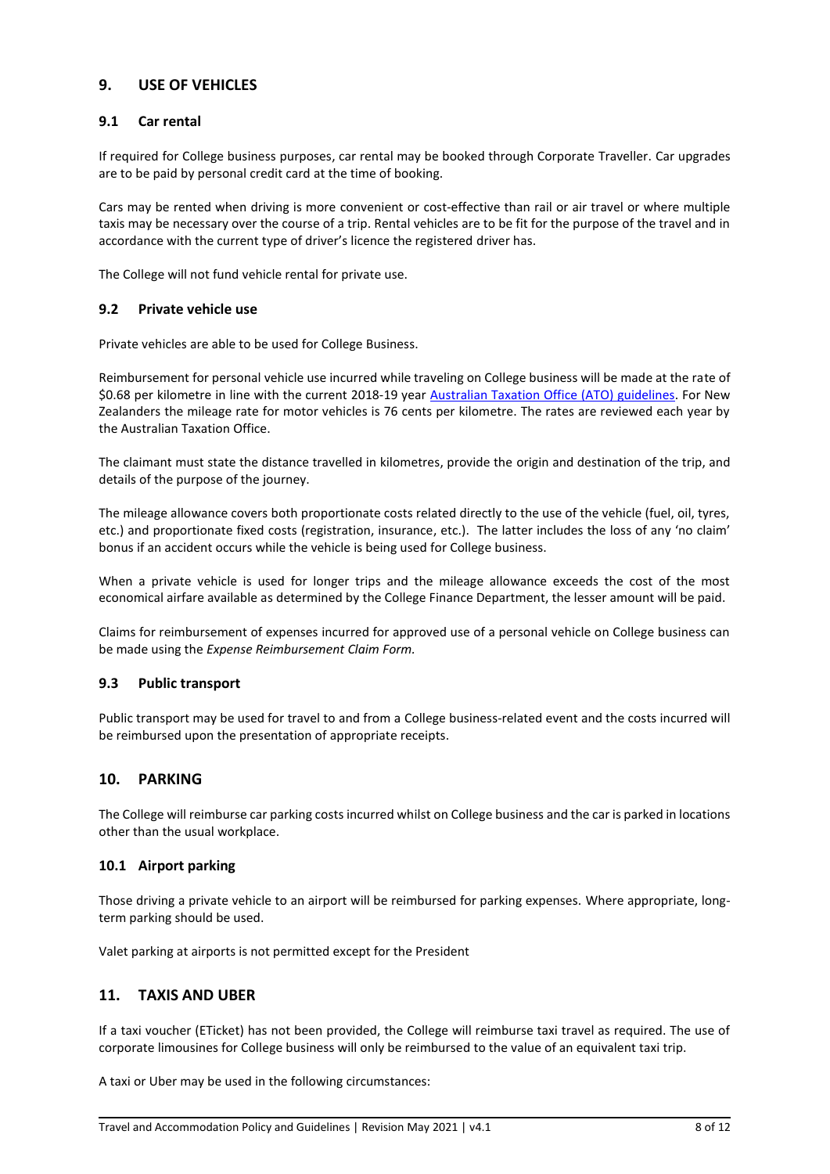# <span id="page-7-0"></span>**9. USE OF VEHICLES**

#### <span id="page-7-1"></span>**9.1 Car rental**

If required for College business purposes, car rental may be booked through Corporate Traveller. Car upgrades are to be paid by personal credit card at the time of booking.

Cars may be rented when driving is more convenient or cost-effective than rail or air travel or where multiple taxis may be necessary over the course of a trip. Rental vehicles are to be fit for the purpose of the travel and in accordance with the current type of driver's licence the registered driver has.

<span id="page-7-2"></span>The College will not fund vehicle rental for private use.

#### **9.2 Private vehicle use**

Private vehicles are able to be used for College Business.

Reimbursement for personal vehicle use incurred while traveling on College business will be made at the rate of \$0.68 per kilometre in line with the current 2018-19 year [Australian Taxation Office \(ATO\) guidelines.](https://www.ato.gov.au/business/income-and-deductions-for-business/business-travel-expenses/motor-vehicle-expenses/calculating-your-deduction/cents-per-kilometre/) For New Zealanders the mileage rate for motor vehicles is 76 cents per kilometre. The rates are reviewed each year by the Australian Taxation Office.

The claimant must state the distance travelled in kilometres, provide the origin and destination of the trip, and details of the purpose of the journey.

The mileage allowance covers both proportionate costs related directly to the use of the vehicle (fuel, oil, tyres, etc.) and proportionate fixed costs (registration, insurance, etc.). The latter includes the loss of any 'no claim' bonus if an accident occurs while the vehicle is being used for College business.

When a private vehicle is used for longer trips and the mileage allowance exceeds the cost of the most economical airfare available as determined by the College Finance Department, the lesser amount will be paid.

Claims for reimbursement of expenses incurred for approved use of a personal vehicle on College business can be made using the *Expense Reimbursement Claim Form.*

### <span id="page-7-3"></span>**9.3 Public transport**

Public transport may be used for travel to and from a College business-related event and the costs incurred will be reimbursed upon the presentation of appropriate receipts.

### <span id="page-7-4"></span>**10. PARKING**

The College will reimburse car parking costs incurred whilst on College business and the car is parked in locations other than the usual workplace.

### <span id="page-7-5"></span>**10.1 Airport parking**

Those driving a private vehicle to an airport will be reimbursed for parking expenses. Where appropriate, longterm parking should be used.

<span id="page-7-6"></span>Valet parking at airports is not permitted except for the President

### **11. TAXIS AND UBER**

If a taxi voucher (ETicket) has not been provided, the College will reimburse taxi travel as required. The use of corporate limousines for College business will only be reimbursed to the value of an equivalent taxi trip.

A taxi or Uber may be used in the following circumstances: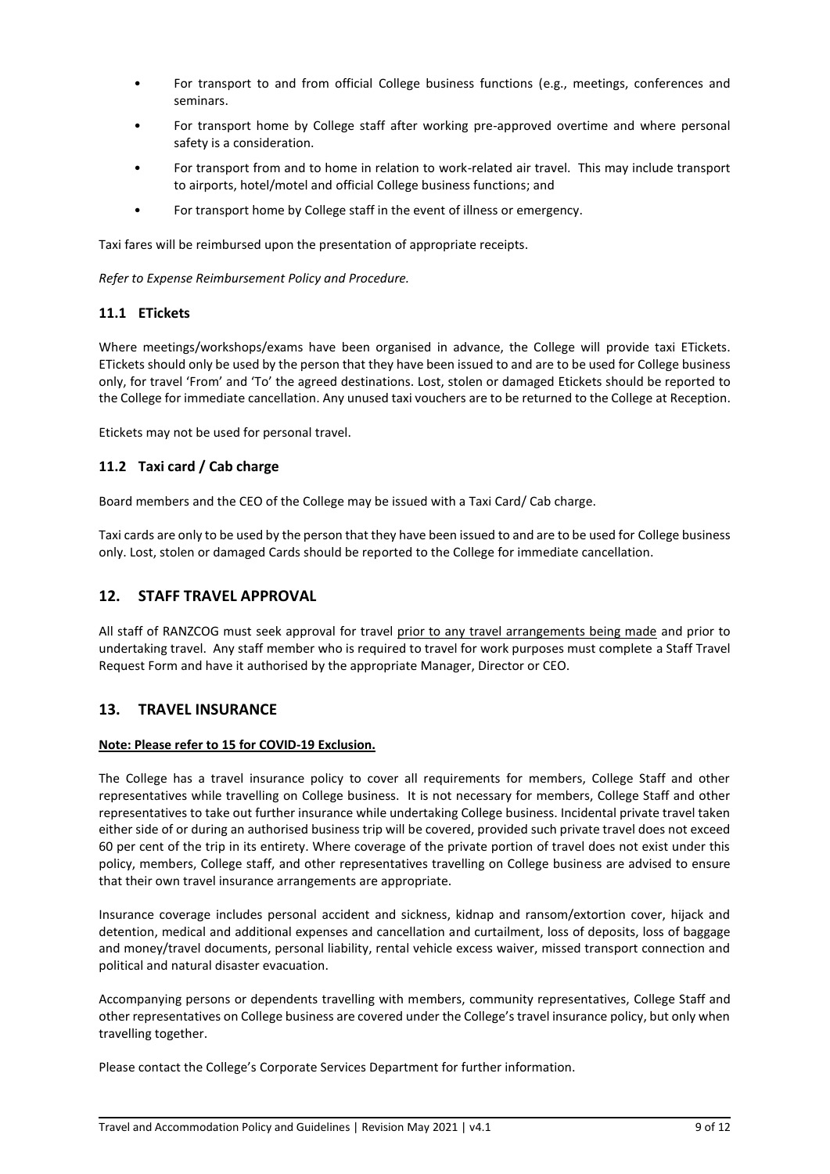- For transport to and from official College business functions (e.g., meetings, conferences and seminars.
- For transport home by College staff after working pre-approved overtime and where personal safety is a consideration.
- For transport from and to home in relation to work-related air travel. This may include transport to airports, hotel/motel and official College business functions; and
- For transport home by College staff in the event of illness or emergency.

Taxi fares will be reimbursed upon the presentation of appropriate receipts.

<span id="page-8-0"></span>*Refer to Expense Reimbursement Policy and Procedure.*

### **11.1 ETickets**

Where meetings/workshops/exams have been organised in advance, the College will provide taxi ETickets. ETickets should only be used by the person that they have been issued to and are to be used for College business only, for travel 'From' and 'To' the agreed destinations. Lost, stolen or damaged Etickets should be reported to the College for immediate cancellation. Any unused taxi vouchers are to be returned to the College at Reception.

<span id="page-8-1"></span>Etickets may not be used for personal travel.

### **11.2 Taxi card / Cab charge**

Board members and the CEO of the College may be issued with a Taxi Card/ Cab charge.

Taxi cards are only to be used by the person that they have been issued to and are to be used for College business only. Lost, stolen or damaged Cards should be reported to the College for immediate cancellation.

### <span id="page-8-2"></span>**12. STAFF TRAVEL APPROVAL**

All staff of RANZCOG must seek approval for travel prior to any travel arrangements being made and prior to undertaking travel. Any staff member who is required to travel for work purposes must complete a Staff Travel Request Form and have it authorised by the appropriate Manager, Director or CEO.

# <span id="page-8-3"></span>**13. TRAVEL INSURANCE**

#### **Note: Please refer to [15](#page-9-2) for COVID-19 Exclusion.**

The College has a travel insurance policy to cover all requirements for members, College Staff and other representatives while travelling on College business. It is not necessary for members, College Staff and other representatives to take out further insurance while undertaking College business. Incidental private travel taken either side of or during an authorised business trip will be covered, provided such private travel does not exceed 60 per cent of the trip in its entirety. Where coverage of the private portion of travel does not exist under this policy, members, College staff, and other representatives travelling on College business are advised to ensure that their own travel insurance arrangements are appropriate.

Insurance coverage includes personal accident and sickness, kidnap and ransom/extortion cover, hijack and detention, medical and additional expenses and cancellation and curtailment, loss of deposits, loss of baggage and money/travel documents, personal liability, rental vehicle excess waiver, missed transport connection and political and natural disaster evacuation.

Accompanying persons or dependents travelling with members, community representatives, College Staff and other representatives on College business are covered under the College's travel insurance policy, but only when travelling together.

Please contact the College's Corporate Services Department for further information.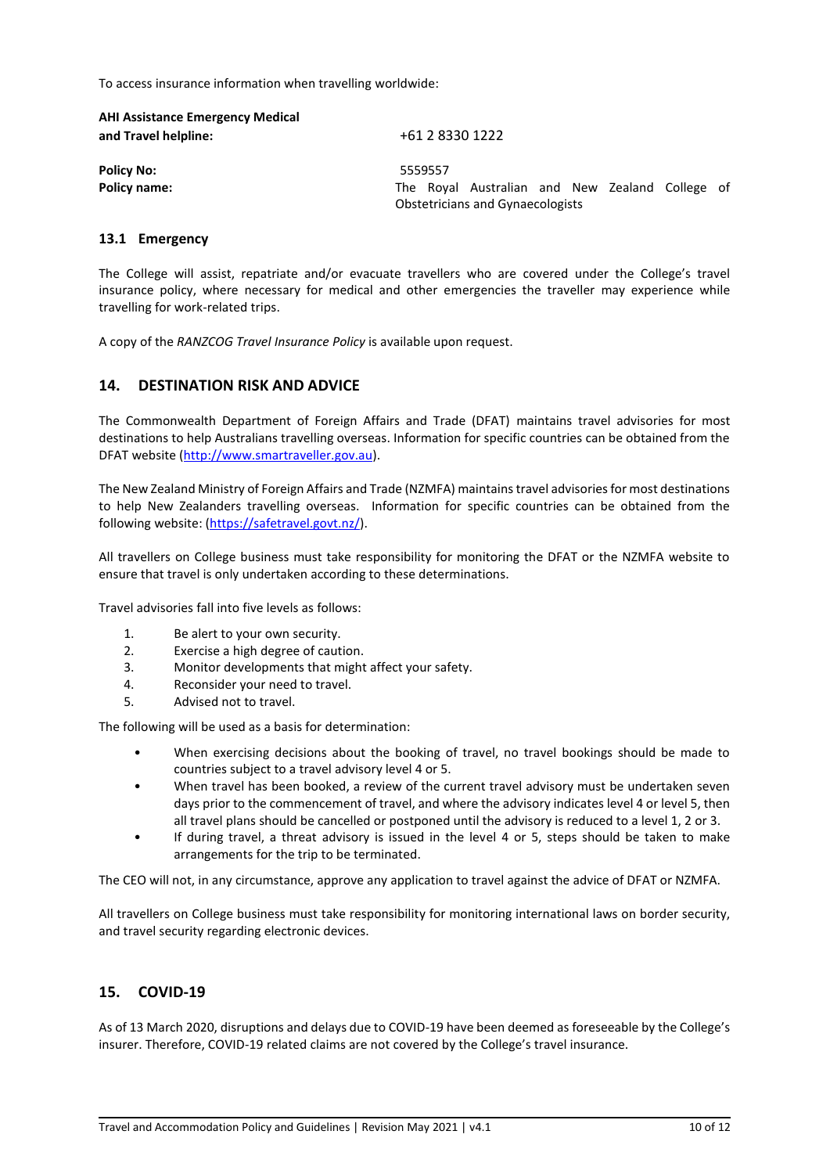To access insurance information when travelling worldwide:

| <b>AHI Assistance Emergency Medical</b><br>and Travel helpline: | +61 2 8330 1222                                                                            |
|-----------------------------------------------------------------|--------------------------------------------------------------------------------------------|
| <b>Policy No:</b>                                               | 5559557                                                                                    |
| <b>Policy name:</b>                                             | The Royal Australian and New Zealand College of<br><b>Obstetricians and Gynaecologists</b> |
| 13.1 Emergency                                                  |                                                                                            |

<span id="page-9-0"></span>The College will assist, repatriate and/or evacuate travellers who are covered under the College's travel insurance policy, where necessary for medical and other emergencies the traveller may experience while travelling for work-related trips.

<span id="page-9-1"></span>A copy of the *RANZCOG Travel Insurance Policy* is available upon request.

# **14. DESTINATION RISK AND ADVICE**

The Commonwealth Department of Foreign Affairs and Trade (DFAT) maintains travel advisories for most destinations to help Australians travelling overseas. Information for specific countries can be obtained from the DFAT website [\(http://www.smartraveller.gov.au\)](http://www.smartraveller.gov.au/).

The New Zealand Ministry of Foreign Affairs and Trade (NZMFA) maintains travel advisories for most destinations to help New Zealanders travelling overseas. Information for specific countries can be obtained from the following website: [\(https://safetravel.govt.nz/\)](https://safetravel.govt.nz/).

All travellers on College business must take responsibility for monitoring the DFAT or the NZMFA website to ensure that travel is only undertaken according to these determinations.

Travel advisories fall into five levels as follows:

- 1. Be alert to your own security.
- 2. Exercise a high degree of caution.
- 3. Monitor developments that might affect your safety.
- 4. Reconsider your need to travel.
- 5. Advised not to travel.

The following will be used as a basis for determination:

- When exercising decisions about the booking of travel, no travel bookings should be made to countries subject to a travel advisory level 4 or 5.
- When travel has been booked, a review of the current travel advisory must be undertaken seven days prior to the commencement of travel, and where the advisory indicates level 4 or level 5, then all travel plans should be cancelled or postponed until the advisory is reduced to a level 1, 2 or 3.
- If during travel, a threat advisory is issued in the level 4 or 5, steps should be taken to make arrangements for the trip to be terminated.

The CEO will not, in any circumstance, approve any application to travel against the advice of DFAT or NZMFA.

All travellers on College business must take responsibility for monitoring international laws on border security, and travel security regarding electronic devices.

# <span id="page-9-2"></span>**15. COVID-19**

As of 13 March 2020, disruptions and delays due to COVID-19 have been deemed as foreseeable by the College's insurer. Therefore, COVID-19 related claims are not covered by the College's travel insurance.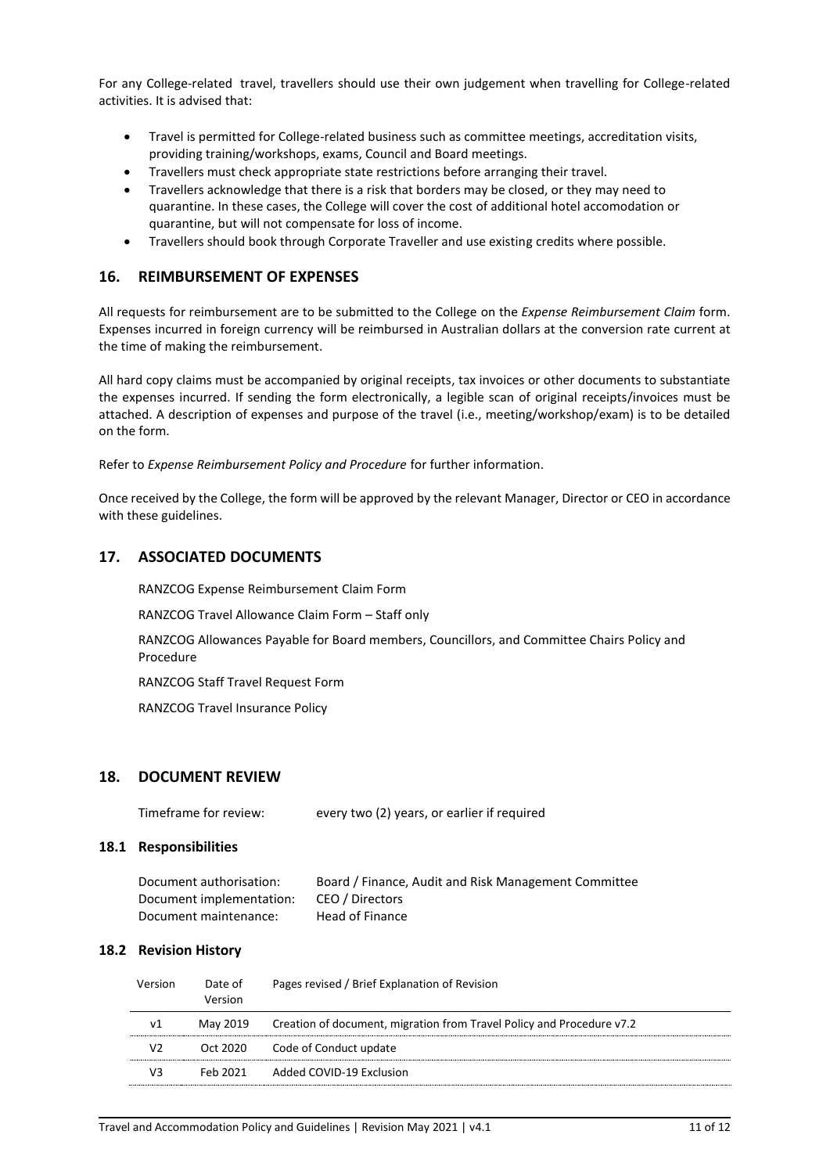<span id="page-10-0"></span>For any College-related travel, travellers should use their own judgement when travelling for College-related activities. It is advised that:

- Travel is permitted for College-related business such as committee meetings, accreditation visits, providing training/workshops, exams, Council and Board meetings.
- Travellers must check appropriate state restrictions before arranging their travel.
- Travellers acknowledge that there is a risk that borders may be closed, or they may need to quarantine. In these cases, the College will cover the cost of additional hotel accomodation or quarantine, but will not compensate for loss of income.
- Travellers should book through Corporate Traveller and use existing credits where possible.

### **16. REIMBURSEMENT OF EXPENSES**

All requests for reimbursement are to be submitted to the College on the *Expense Reimbursement Claim* form. Expenses incurred in foreign currency will be reimbursed in Australian dollars at the conversion rate current at the time of making the reimbursement.

All hard copy claims must be accompanied by original receipts, tax invoices or other documents to substantiate the expenses incurred. If sending the form electronically, a legible scan of original receipts/invoices must be attached. A description of expenses and purpose of the travel (i.e., meeting/workshop/exam) is to be detailed on the form.

Refer to *Expense Reimbursement Policy and Procedure* for further information.

Once received by the College, the form will be approved by the relevant Manager, Director or CEO in accordance with these guidelines.

### <span id="page-10-1"></span>**17. ASSOCIATED DOCUMENTS**

RANZCOG Expense Reimbursement Claim Form

RANZCOG Travel Allowance Claim Form – Staff only

RANZCOG Allowances Payable for Board members, Councillors, and Committee Chairs Policy and Procedure

RANZCOG Staff Travel Request Form

RANZCOG Travel Insurance Policy

### <span id="page-10-2"></span>**18. DOCUMENT REVIEW**

Timeframe for review: every two (2) years, or earlier if required

#### <span id="page-10-3"></span>**18.1 Responsibilities**

| Document authorisation:  | Board / Finance, Audit and Risk Management Committee |
|--------------------------|------------------------------------------------------|
| Document implementation: | CEO / Directors                                      |
| Document maintenance:    | Head of Finance                                      |

#### <span id="page-10-4"></span>**18.2 Revision History**

| Version | Date of<br>Version | Pages revised / Brief Explanation of Revision                                  |
|---------|--------------------|--------------------------------------------------------------------------------|
| ν1      |                    | May 2019 Creation of document, migration from Travel Policy and Procedure v7.2 |
| V2      |                    | Oct 2020 Code of Conduct update                                                |
| VЗ      |                    | Feb 2021 Added COVID-19 Exclusion                                              |
|         |                    |                                                                                |